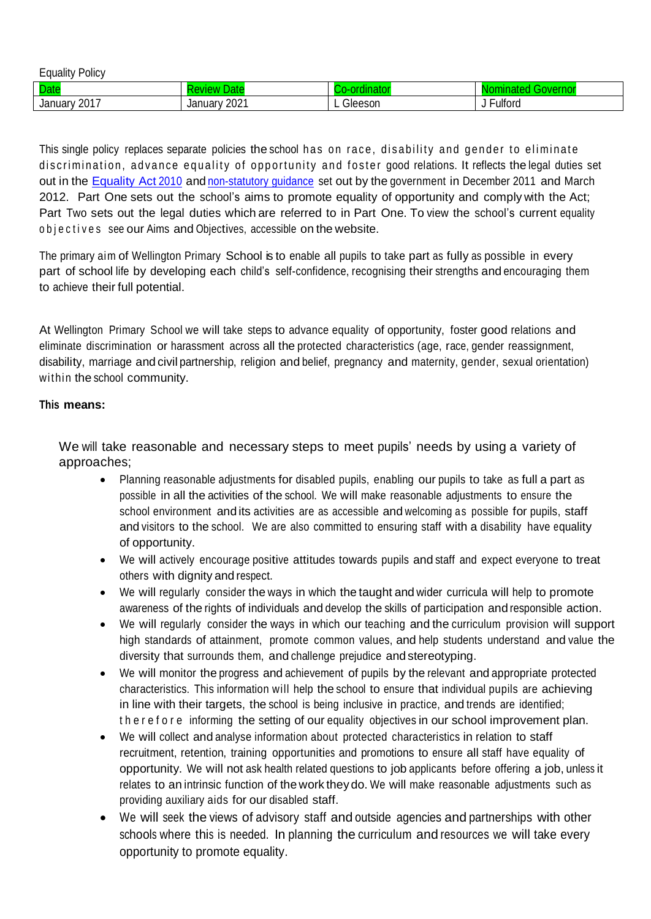| .<br>- -<br>_<br>Policy<br>Equality |                 |              |                  |
|-------------------------------------|-----------------|--------------|------------------|
| <b>Date</b>                         |                 |              | œ<br>៶៶៸⊷<br>ЧU. |
| 2017<br>January <sup>1</sup>        | 2021<br>January | Gleeson<br>- | ulford           |

This single policy replaces separate policies the school has on race, disability and gender to eliminate discrimination, advance equality of opportunity and foster good relations. It reflects the legal duties set out in the [Equality](http://www.legislation.gov.uk/ukpga/2010/15/pdfs/ukpga_20100015_en.pdf) Act 2010 and [non-statutory guidance](http://www.equalityhumanrights.com/uploaded_files/EqualityAct/PSED/public_sector_equality_duty_guidance_for_schools_in_england_final.pdf) set out by the government in December 2011 and March 2012. Part One sets out the school's aims to promote equality of opportunity and comply with the Act; Part Two sets out the legal duties which are referred to in Part One. To view the school's current equality objectives see our Aims and Objectives, accessible on the website.

The primary aim of Wellington Primary School is to enable all pupils to take part as fully as possible in every part of school life by developing each child's self-confidence, recognising their strengths and encouraging them to achieve their full potential.

At Wellington Primary School we will take steps to advance equality of opportunity, foster good relations and eliminate discrimination or harassment across all the protected characteristics (age, race, gender reassignment, disability, marriage and civil partnership, religion and belief, pregnancy and maternity, gender, sexual orientation) within the school community.

#### **This means:**

We will take reasonable and necessary steps to meet pupils' needs by using a variety of approaches;

- Planning reasonable adjustments for disabled pupils, enabling our pupils to take as full a part as possible in all the activities of the school. We will make reasonable adjustments to ensure the school environment and its activities are as accessible and welcoming as possible for pupils, staff and visitors to the school. We are also committed to ensuring staff with a disability have equality of opportunity.
- We will actively encourage positive attitudes towards pupils and staff and expect everyone to treat others with dignity and respect.
- We will regularly consider the ways in which the taught and wider curricula will help to promote awareness of the rights of individuals and develop the skills of participation and responsible action.
- We will regularly consider the ways in which our teaching and the curriculum provision will support high standards of attainment, promote common values, and help students understand and value the diversity that surrounds them, and challenge prejudice and stereotyping.
- We will monitor the progress and achievement of pupils by the relevant and appropriate protected characteristics. This information will help the school to ensure that individual pupils are achieving in line with their targets, the school is being inclusive in practice, and trends are identified; therefore informing the setting of our equality objectives in our school improvement plan.
- We will collect and analyse information about protected characteristics in relation to staff recruitment, retention, training opportunities and promotions to ensure all staff have equality of opportunity. We will not ask health related questions to job applicants before offering a job, unless it relates to an intrinsic function of the work theydo. We will make reasonable adjustments such as providing auxiliary aids for our disabled staff.
- We will seek the views of advisory staff and outside agencies and partnerships with other schools where this is needed. In planning the curriculum and resources we will take every opportunity to promote equality.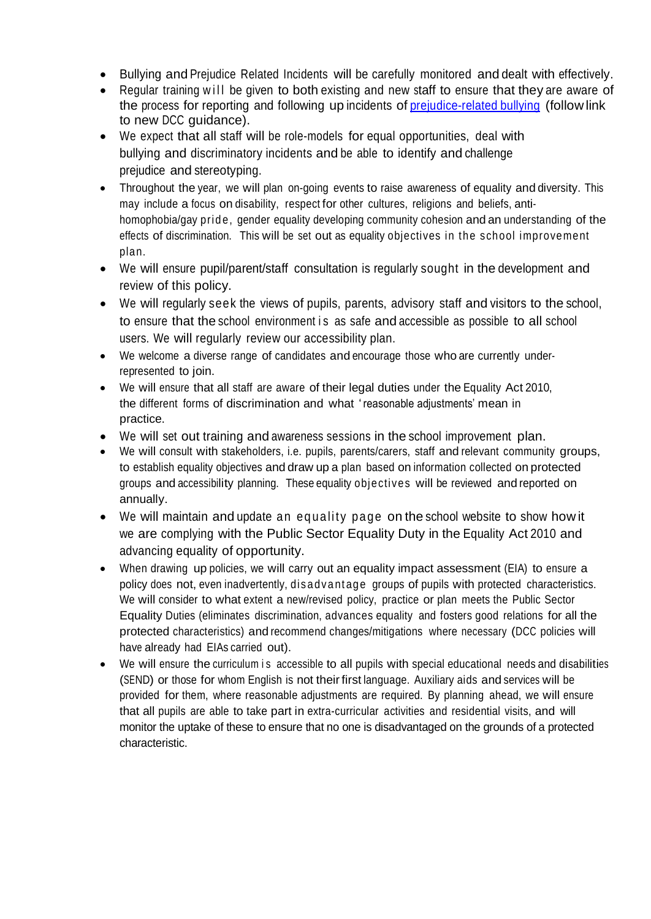- Bullying and Prejudice Related Incidents will be carefully monitored and dealt with effectively.
- Regular training will be given to both existing and new staff to ensure that they are aware of the process for reporting and following up incidents of [prejudice-related](http://www.babcock-education.co.uk/ldp/view_folder.asp?folderid=125847&depth=1&rootid=125847&level1&level1id) bullying (follow link to new DCC guidance).
- We expect that all staff will be role-models for equal opportunities, deal with bullying and discriminatory incidents and be able to identify and challenge prejudice and stereotyping.
- Throughout the year, we will plan on-going events to raise awareness of equality and diversity. This may include a focus on disability, respect for other cultures, religions and beliefs, antihomophobia/gay pride, gender equality developing community cohesion and an understanding of the effects of discrimination. This will be set out as equality objectives in the school improvement plan.
- We will ensure pupil/parent/staff consultation is regularly sought in the development and review of this policy.
- We will regularly seek the views of pupils, parents, advisory staff and visitors to the school, to ensure that the school environment is as safe and accessible as possible to all school users. We will regularly review our accessibility plan.
- We welcome a diverse range of candidates and encourage those who are currently underrepresented to join.
- We will ensure that all staff are aware of their legal duties under the Equality Act 2010, the different forms of discrimination and what 'reasonable adjustments' mean in practice.
- We will set out training and awareness sessions in the school improvement plan.
- We will consult with stakeholders, i.e. pupils, parents/carers, staff and relevant community groups, to establish equality objectives and draw up a plan based on information collected on protected groups and accessibility planning. These equality objectives will be reviewed and reported on annually.
- We will maintain and update an equality page on the school website to show how it we are complying with the Public Sector Equality Duty in the Equality Act 2010 and advancing equality of opportunity.
- When drawing up policies, we will carry out an equality impact assessment (EIA) to ensure a policy does not, even inadvertently, dis a dv antage groups of pupils with protected characteristics. We will consider to what extent a new/revised policy, practice or plan meets the Public Sector Equality Duties (eliminates discrimination, advances equality and fosters good relations for all the protected characteristics) and recommend changes/mitigations where necessary (DCC policies will have already had EIAs carried out).
- We will ensure the curriculum is accessible to all pupils with special educational needs and disabilities (SEND) or those for whom English is not their first language. Auxiliary aids and services will be provided for them, where reasonable adjustments are required. By planning ahead, we will ensure that all pupils are able to take part in extra-curricular activities and residential visits, and will monitor the uptake of these to ensure that no one is disadvantaged on the grounds of a protected characteristic.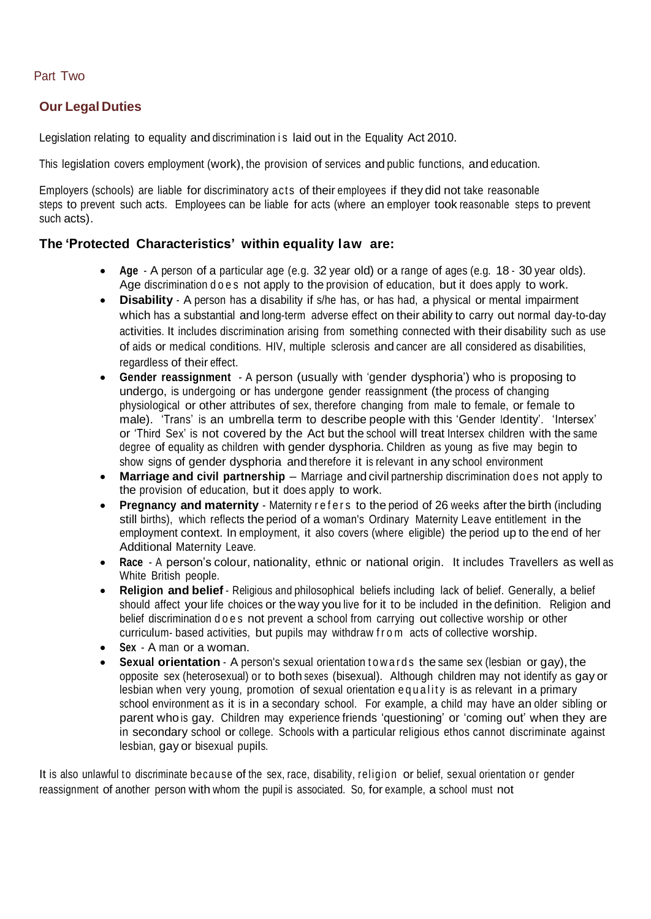### Part Two

### **Our Legal Duties**

Legislation relating to equality and discrimination is laid out in the Equality Act 2010.

This legislation covers employment (work), the provision of services and public functions, and education.

Employers (schools) are liable for discriminatory acts of their employees if they did not take reasonable steps to prevent such acts. Employees can be liable for acts (where an employer took reasonable steps to prevent such acts).

### **The 'Protected Characteristics' within equality law are:**

- **Age** A person of a particular age (e.g. 32 year old) or a range of ages (e.g. 18 30 year olds). Age discrimination does not apply to the provision of education, but it does apply to work.
- **Disability** A person has a disability if s/he has, or has had, a physical or mental impairment which has a substantial and long-term adverse effect on their ability to carry out normal day-to-day activities. It includes discrimination arising from something connected with their disability such as use of aids or medical conditions. HIV, multiple sclerosis and cancer are all considered as disabilities, regardless of their effect.
- **Gender reassignment** A person (usually with 'gender dysphoria') who is proposing to undergo, is undergoing or has undergone gender reassignment (the process of changing physiological or other attributes of sex, therefore changing from male to female, or female to male). 'Trans' is an umbrella term to describe people with this 'Gender Identity'. 'Intersex' or 'Third Sex' is not covered by the Act but the school will treat Intersex children with the same degree of equality as children with gender dysphoria. Children as young as five may begin to show signs of gender dysphoria and therefore it is relevant in any school environment
- **Marriage and civil partnership** Marriage and civil partnership discrimination does not apply to the provision of education, but it does apply to work.
- **Pregnancy and maternity** Maternity refers to the period of 26 weeks after the birth (including still births), which reflects the period of a woman's Ordinary Maternity Leave entitlement in the employment context. In employment, it also covers (where eligible) the period up to the end of her Additional Maternity Leave.
- **Race** A person's colour, nationality, ethnic or national origin. It includes Travellers as well as White British people.
- **Religion and belief** Religious and philosophical beliefs including lack of belief. Generally, a belief should affect your life choices or the way you live for it to be included in the definition. Religion and belief discrimination does not prevent a school from carrying out collective worship or other curriculum- based activities, but pupils may withdraw from acts of collective worship.
- **Sex** A man or a woman.
- **Sexual orientation** A person's sexual orientation to w a r d s the same sex (lesbian or gay), the opposite sex (heterosexual) or to both sexes (bisexual). Although children may not identify as gay or lesbian when very young, promotion of sexual orientation e quality is as relevant in a primary school environment as it is in a secondary school. For example, a child may have an older sibling or parent who is gay. Children may experience friends 'questioning' or 'coming out' when they are in secondary school or college. Schools with a particular religious ethos cannot discriminate against lesbian, gay or bisexual pupils.

It is also unlawful to discriminate because of the sex, race, disability, religion or belief, sexual orientation or gender reassignment of another person with whom the pupil is associated. So, for example, a school must not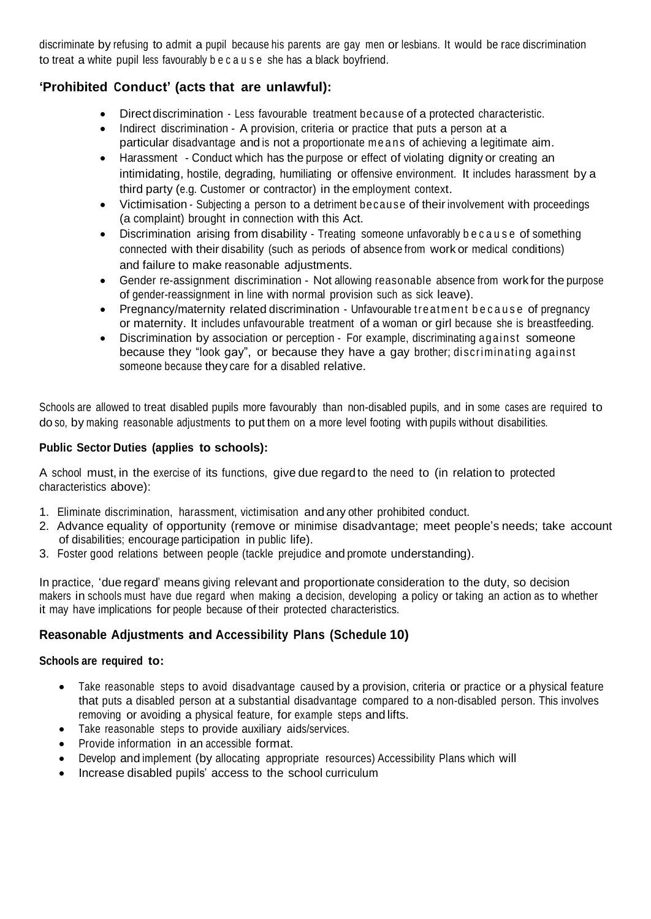discriminate by refusing to admit a pupil because his parents are gay men or lesbians. It would be race discrimination to treat a white pupil less favourably b e c a u s e she has a black boyfriend.

# **'Prohibited Conduct' (acts that are unlawful):**

- Direct discrimination Less favourable treatment because of a protected characteristic.
- Indirect discrimination A provision, criteria or practice that puts a person at a particular disadvantage and is not a proportionate me ans of achieving a legitimate aim.
- Harassment Conduct which has the purpose or effect of violating dignity or creating an intimidating, hostile, degrading, humiliating or offensive environment. It includes harassment by a third party (e.g. Customer or contractor) in the employment context.
- Victimisation Subjecting a person to a detriment because of their involvement with proceedings (a complaint) brought in connection with this Act.
- Discrimination arising from disability Treating someone unfavorably because of something connected with their disability (such as periods of absence from work or medical conditions) and failure to make reasonable adjustments.
- Gender re-assignment discrimination Not allowing reasonable absence from work for the purpose of gender-reassignment in line with normal provision such as sick leave).
- Pregnancy/maternity related discrimination Unfavourable treatment because of pregnancy or maternity. It includes unfavourable treatment of a woman or girl because she is breastfeeding.
- Discrimination by association or perception For example, discriminating against someone because they "look gay", or because they have a gay brother; discriminating against someone because they care for a disabled relative.

Schools are allowed to treat disabled pupils more favourably than non-disabled pupils, and in some cases are required to do so, by making reasonable adjustments to put them on a more level footing with pupils without disabilities.

### **Public Sector Duties (applies to schools):**

A school must, in the exercise of its functions, give due regard to the need to (in relation to protected characteristics above):

- 1. Eliminate discrimination, harassment, victimisation and any other prohibited conduct.
- 2. Advance equality of opportunity (remove or minimise disadvantage; meet people's needs; take account of disabilities; encourage participation in public life).
- 3. Foster good relations between people (tackle prejudice and promote understanding).

In practice, 'due regard' means giving relevant and proportionate consideration to the duty, so decision makers in schools must have due regard when making a decision, developing a policy or taking an action as to whether it may have implications for people because of their protected characteristics.

# **Reasonable Adjustments and Accessibility Plans (Schedule 10)**

#### **Schools are required to:**

- Take reasonable steps to avoid disadvantage caused by a provision, criteria or practice or a physical feature that puts a disabled person at a substantial disadvantage compared to a non-disabled person. This involves removing or avoiding a physical feature, for example steps and lifts.
- Take reasonable steps to provide auxiliary aids/services.
- Provide information in an accessible format.
- Develop and implement (by allocating appropriate resources) Accessibility Plans which will
- Increase disabled pupils' access to the school curriculum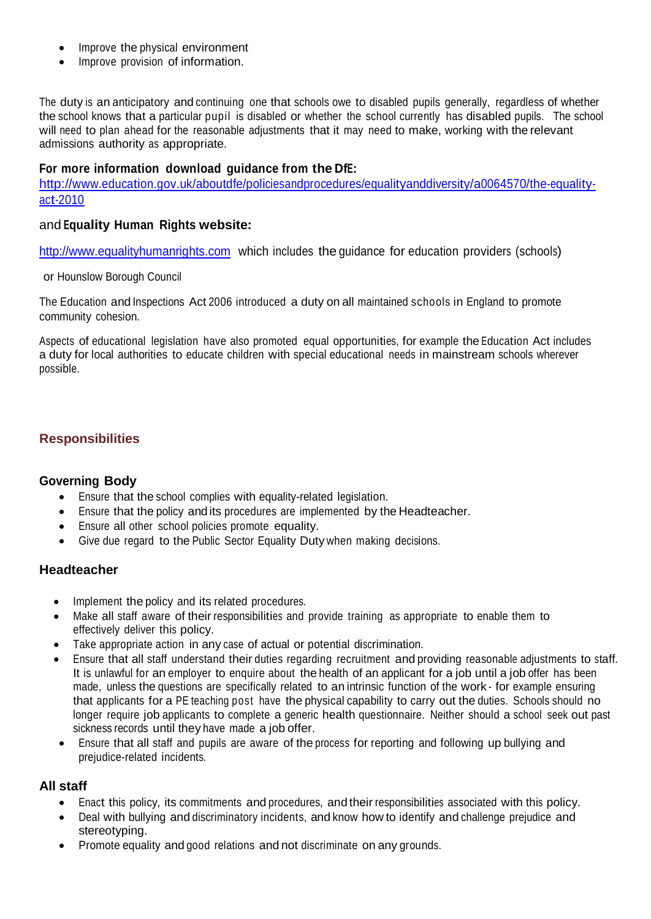- Improve the physical environment
- Improve provision of information.

The duty is an anticipatory and continuing one that schools owe to disabled pupils generally, regardless of whether the school knows that a particular pupil is disabled or whether the school currently has disabled pupils. The school will need to plan ahead for the reasonable adjustments that it may need to make, working with the relevant admissions authority as appropriate.

### **For more information download guidance from the DfE:**

[http://www.education.gov.uk/aboutdfe/policiesandprocedures/equalityanddiversity/a0064570/the-equality](http://www.education.gov.uk/aboutdfe/policiesandprocedures/equalityanddiversity/a0064570/the-equality-act-2010)[act-2010](http://www.education.gov.uk/aboutdfe/policiesandprocedures/equalityanddiversity/a0064570/the-equality-act-2010)

### and **Equality Human Rights website:**

[http://www.equalityhumanrights.com](http://www.equalityhumanrights.com/) which includes the guidance for education providers (schools)

or Hounslow Borough Council

The Education and Inspections Act 2006 introduced a duty on all maintained schools in England to promote community cohesion.

Aspects of educational legislation have also promoted equal opportunities, for example the Education Act includes a duty for local authorities to educate children with special educational needs in mainstream schools wherever possible.

### **Responsibilities**

#### **Governing Body**

- Ensure that the school complies with equality-related legislation.
- Ensure that the policy and its procedures are implemented by the Headteacher.
- Ensure all other school policies promote equality.
- Give due regard to the Public Sector Equality Duty when making decisions.

#### **Headteacher**

- Implement the policy and its related procedures.
- Make all staff aware of their responsibilities and provide training as appropriate to enable them to effectively deliver this policy.
- Take appropriate action in any case of actual or potential discrimination.
- Ensure that all staff understand their duties regarding recruitment and providing reasonable adjustments to staff. It is unlawful for an employer to enquire about the health of an applicant for a job until a job offer has been made, unless the questions are specifically related to an intrinsic function of the work - for example ensuring that applicants for a PE teaching post have the physical capability to carry out the duties. Schools should no longer require job applicants to complete a generic health questionnaire. Neither should a school seek out past sickness records until they have made a job offer.
- Ensure that all staff and pupils are aware of the process for reporting and following up bullying and prejudice-related incidents.

#### **All staff**

- Enact this policy, its commitments and procedures, and their responsibilities associated with this policy.
- Deal with bullying and discriminatory incidents, and know how to identify and challenge prejudice and stereotyping.
- Promote equality and good relations and not discriminate on any grounds.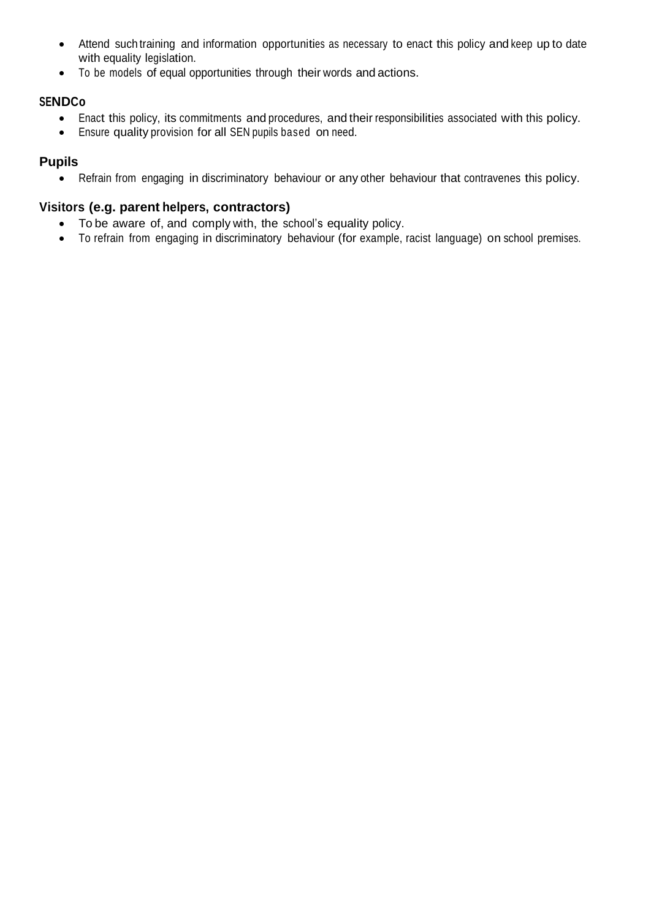- Attend such training and information opportunities as necessary to enact this policy and keep up to date with equality legislation.
- To be models of equal opportunities through their words and actions.

### **SENDCo**

- Enact this policy, its commitments and procedures, and their responsibilities associated with this policy.
- Ensure quality provision for all SEN pupils based on need.

# **Pupils**

• Refrain from engaging in discriminatory behaviour or any other behaviour that contravenes this policy.

### **Visitors (e.g. parent helpers, contractors)**

- To be aware of, and comply with, the school's equality policy.
- To refrain from engaging in discriminatory behaviour (for example, racist language) on school premises.